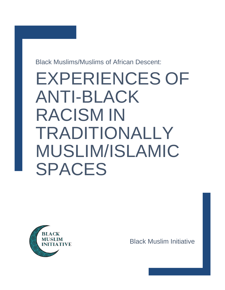Black Muslims/Muslims of African Descent:

# EXPERIENCES OF ANTI-BLACK RACISM IN TRADITIONALLY MUSLIM/ISLAMIC SPACES



Black Muslim Initiative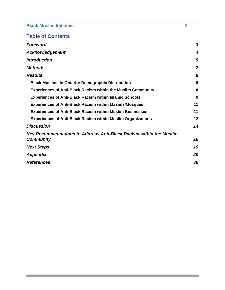# **Table of Contents**

| <b>Foreword</b>                                                     | 3  |
|---------------------------------------------------------------------|----|
| <b>Acknowledgement</b>                                              | 4  |
| <b>Introduction</b>                                                 | 5  |
| <b>Methods</b>                                                      | 7  |
| <b>Results</b>                                                      | 8  |
| <b>Black Muslims in Ontario: Demographic Distribution</b>           | 8  |
| <b>Experiences of Anti-Black Racism within the Muslim Community</b> | 8  |
| <b>Experiences of Anti-Black Racism within Islamic Schools</b>      | 9  |
| <b>Experiences of Anti-Black Racism within Masjids/Mosques</b>      | 11 |
| <b>Experiences of Anti-Black Racism within Muslim Businesses</b>    | 11 |
| <b>Experiences of Anti-Black Racism within Muslim Organizations</b> | 12 |
| <b>Discussion</b>                                                   | 14 |
| Key Recommendations to Address Anti-Black Racism within the Muslim  |    |
| <b>Community</b>                                                    | 16 |
| <b>Next Steps</b>                                                   | 19 |
| <b>Appendix</b>                                                     | 20 |
| <b>References</b>                                                   | 36 |

and the control of the control of the control of the control of the control of the control of the control of the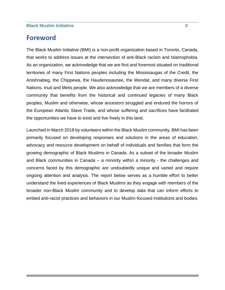# <span id="page-2-0"></span>**Foreword**

<span id="page-2-1"></span>The Black Muslim Initiative (BMI) is a non-profit organization based in Toronto, Canada, that works to address issues at the intersection of anti-Black racism and Islamophobia. As an organization, we acknowledge that we are first and foremost situated on traditional territories of many First Nations peoples including the Mississaugas of the Credit, the Anishnabeg, the Chippewa, the Haudenosaunee, the Wendat, and many diverse First Nations, Inuit and Metis people. We also acknowledge that we are members of a diverse community that benefits from the historical and continued legacies of many Black peoples, Muslim and otherwise, whose ancestors struggled and endured the horrors of the European Atlantic Slave Trade, and whose suffering and sacrifices have facilitated the opportunities we have to exist and live freely in this land.

Launched in March 2018 by volunteers within the Black Muslim community, BMI has been primarily focused on developing responses and solutions in the areas of education, advocacy and resource development on behalf of individuals and families that form the growing demographic of Black Muslims in Canada. As a subset of the broader Muslim and Black communities in Canada – a minority within a minority - the challenges and concerns faced by this demographic are undoubtedly unique and varied and require ongoing attention and analysis. The report below serves as a humble effort to better understand the lived experiences of Black Muslims as they engage with members of the broader non-Black *Muslim* community and to develop data that can inform efforts to embed anti-racist practices and behaviors in our Muslim-focused institutions and bodies.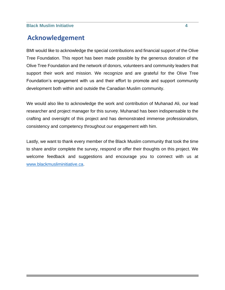# **Acknowledgement**

BMI would like to acknowledge the special contributions and financial support of the Olive Tree Foundation. This report has been made possible by the generous donation of the Olive Tree Foundation and the network of donors, volunteers and community leaders that support their work and mission. We recognize and are grateful for the Olive Tree Foundation's engagement with us and their effort to promote and support community development both within and outside the Canadian Muslim community.

We would also like to acknowledge the work and contribution of Muhanad Ali, our lead researcher and project manager for this survey. Muhanad has been indispensable to the crafting and oversight of this project and has demonstrated immense professionalism, consistency and competency throughout our engagement with him.

Lastly, we want to thank every member of the Black Muslim community that took the time to share and/or complete the survey, respond or offer their thoughts on this project. We welcome feedback and suggestions and encourage you to connect with us at [www.blackmusliminitiative.ca.](http://www.blackmusliminitiative.ca/)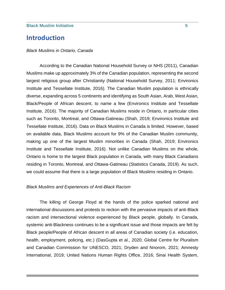# <span id="page-4-0"></span>**Introduction**

#### *Black Muslims in Ontario, Canada*

According to the Canadian National Household Survey or NHS (2011), Canadian Muslims make up approximately 3% of the Canadian population, representing the second largest religious group after Christianity (National Household Survey, 2011; Environics Institute and Tessellate Institute, 2016). The Canadian Muslim population is ethnically diverse, expanding across 5 continents and identifying as South Asian, Arab, West Asian, Black/People of African descent, to name a few (Environics Institute and Tessellate Institute, 2016). The majority of Canadian Muslims reside in Ontario, in particular cities such as Toronto, Montreal, and Ottawa-Gatineau (Shah, 2019; Environics Institute and Tessellate Institute, 2016). Data on Black Muslims in Canada is limited. However, based on available data, Black Muslims account for 9% of the Canadian Muslim community, making up one of the largest Muslim minorities in Canada (Shah, 2019; Environics Institute and Tessellate Institute, 2016). Not unlike Canadian Muslims on the whole, Ontario is home to the largest Black population in Canada, with many Black Canadians residing in Toronto, Montreal, and Ottawa-Gatineau (Statistics Canada, 2019). As such, we could assume that there is a large population of Black Muslims residing in Ontario.

#### *Black Muslims and Experiences of Anti-Black Racism*

The killing of George Floyd at the hands of the police sparked national and international discussions and protests to reckon with the pervasive impacts of anti-Black racism and intersectional violence experienced by Black people, globally. In Canada, systemic anti-Blackness continues to be a significant issue and those impacts are felt by Black people/People of African descent in all areas of Canadian society (i.e. education, health, employment, policing, etc.) (DasGupta et al., 2020; Global Centre for Pluralism and Canadian Commission for UNESCO, 2021; Dryden and Nnorom, 2021; Amnesty International, 2019; United Nations Human Rights Office, 2016; Sinai Health System,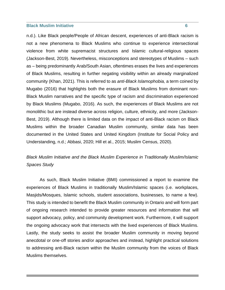n.d.). Like Black people/People of African descent, experiences of anti-Black racism is not a new phenomena to Black Muslims who continue to experience intersectional violence from white supremacist structures and Islamic cultural-religious spaces (Jackson-Best, 2019). Nevertheless, misconceptions and stereotypes of Muslims – such as – being predominantly Arab/South Asian, oftentimes erases the lives and experiences of Black Muslims, resulting in further negating visibility within an already marginalized community (Khan, 2021). This is referred to as *anti-Black Islamophobia,* a term coined by Mugabo (2016) that highlights both the erasure of Black Muslims from dominant non-Black Muslim narratives and the specific type of racism and discrimination experienced by Black Muslims (Mugabo, 2016). As such, the experiences of Black Muslims are not monolithic but are instead diverse across religion, culture, ethnicity, and more (Jackson-Best, 2019). Although there is limited data on the impact of anti-Black racism on Black Muslims within the broader Canadian Muslim community, similar data has been documented in the United States and United Kingdom (Institute for Social Policy and Understanding, n.d.; Abbasi, 2020; Hill et al., 2015; Muslim Census, 2020).

# *Black Muslim Initiative and the Black Muslim Experience in Traditionally Muslim/Islamic Spaces Study*

As such, Black Muslim Initiative (BMI) commissioned a report to examine the experiences of Black Muslims in traditionally Muslim/Islamic spaces (i.e. workplaces, Masjids/Mosques, Islamic schools, student associations, businesses, to name a few). This study is intended to benefit the Black Muslim community in Ontario and will form part of ongoing research intended to provide greater resources and information that will support advocacy, policy, and community development work. Furthermore, it will support the ongoing advocacy work that intersects with the lived experiences of Black Muslims. Lastly, the study seeks to assist the broader Muslim community in moving beyond anecdotal or one-off stories and/or approaches and instead, highlight practical solutions to addressing anti-Black racism within the Muslim community from the voices of Black Muslims themselves.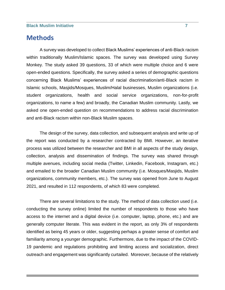# <span id="page-6-0"></span>**Methods**

A survey was developed to collect Black Muslims' experiences of anti-Black racism within traditionally Muslim/Islamic spaces. The survey was developed using Survey Monkey. The study asked 39 questions, 33 of which were multiple choice and 6 were open-ended questions. Specifically, the survey asked a series of demographic questions concerning Black Muslims' experiences of racial discrimination/anti-Black racism in Islamic schools, Masjids/Mosques, Muslim/Halal businesses, Muslim organizations (i.e. student organizations, health and social service organizations, non-for-profit organizations, to name a few) and broadly, the Canadian Muslim community. Lastly, we asked one open-ended question on recommendations to address racial discrimination and anti-Black racism within non-Black Muslim spaces.

The design of the survey, data collection, and subsequent analysis and write up of the report was conducted by a researcher contracted by BMI. However, an iterative process was utilized between the researcher and BMI in all aspects of the study design, collection, analysis and dissemination of findings. The survey was shared through multiple avenues, including social media (Twitter, Linkedin, Facebook, Instagram, etc.) and emailed to the broader Canadian Muslim community (i.e. Mosques/Masjids, Muslim organizations, community members, etc.). The survey was opened from June to August 2021, and resulted in 112 respondents, of which 83 were completed.

There are several limitations to the study. The method of data collection used (i.e. conducting the survey online) limited the number of respondents to those who have access to the internet and a digital device (i.e. computer, laptop, phone, etc.) and are generally computer literate. This was evident in the report, as only 3% of respondents identified as being 45 years or older, suggesting perhaps a greater sense of comfort and familiarity among a younger demographic. Furthermore, due to the impact of the COVID-19 pandemic and regulations prohibiting and limiting access and socialization, direct outreach and engagement was significantly curtailed. Moreover, because of the relatively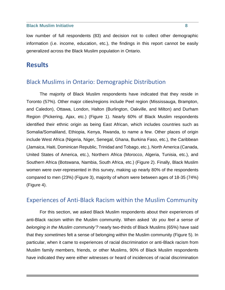low number of full respondents (83) and decision not to collect other demographic information (i.e. income, education, etc.), the findings in this report cannot be easily generalized across the Black Muslim population in Ontario.

# <span id="page-7-0"></span>**Results**

# <span id="page-7-1"></span>Black Muslims in Ontario: Demographic Distribution

The majority of Black Muslim respondents have indicated that they reside in Toronto (57%). Other major cities/regions include Peel region (Mississauga, Brampton, and Caledon), Ottawa, London, Halton (Burlington, Oakville, and Milton) and Durham Region (Pickering, Ajax, etc.) (Figure 1). Nearly 60% of Black Muslim respondents identified their ethnic origin as being East African, which includes countries such as Somalia/Somaliland, Ethiopia, Kenya, Rwanda, to name a few. Other places of origin include West Africa (Nigeria, Niger, Senegal, Ghana, Burkina Faso, etc.), the Caribbean (Jamaica, Haiti, Dominican Republic, Trinidad and Tobago, etc.), North America (Canada, United States of America, etc.), Northern Africa (Morocco, Algeria, Tunisia, etc.), and Southern Africa (Botswana, Nambia, South Africa, etc.) (Figure 2). Finally, Black Muslim women were over-represented in this survey, making up nearly 80% of the respondents compared to men (23%) (Figure 3), majority of whom were between ages of 18-35 (74%) (Figure 4).

# <span id="page-7-2"></span>Experiences of Anti-Black Racism within the Muslim Community

For this section, we asked Black Muslim respondents about their experiences of anti-Black racism within the Muslim community. When asked '*do you feel a sense of belonging in the Muslim community'?* nearly two-thirds of Black Muslims (65%) have said that they *sometimes* felt a sense of belonging within the Muslim community (Figure 5). In particular, when it came to experiences of racial discrimination or anti-Black racism from Muslim family members, friends, or other Muslims, 90% of Black Muslim respondents have indicated they were either witnesses or heard of incidences of racial discrimination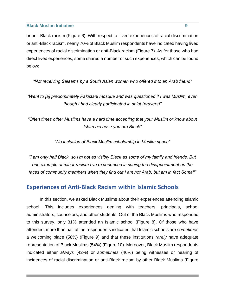or anti-Black racism (Figure 6). With respect to lived experiences of racial discrimination or anti-Black racism, nearly 70% of Black Muslim respondents have indicated having lived experiences of racial discrimination or anti-Black racism (Figure 7). As for those who had direct lived experiences, some shared a number of such experiences, which can be found below:

*"Not receiving Salaams by a South Asian women who offered it to an Arab friend"*

*"Went to [a] predominately Pakistani mosque and was questioned if I was Muslim, even though I had clearly participated in salat (prayers)"*

*"Often times other Muslims have a hard time accepting that your Muslim or know about Islam because you are Black"*

*"No inclusion of Black Muslim scholarship in Muslim space"*

*"I am only half Black, so I'm not as visibly Black as some of my family and friends. But one example of minor racism I've experienced is seeing the disappointment on the faces of community members when they find out I am not Arab, but am in fact Somali"*

# <span id="page-8-0"></span>**Experiences of Anti-Black Racism within Islamic Schools**

In this section, we asked Black Muslims about their experiences attending Islamic school. This includes experiences dealing with teachers, principals, school administrators, counselors, and other students. Out of the Black Muslims who responded to this survey, only 31% attended an Islamic school (Figure 8). Of those who have attended, more than half of the respondents indicated that Islamic schools are *sometimes* a welcoming place (58%) (Figure 9) and that these institutions *rarely* have adequate representation of Black Muslims (54%) (Figure 10). Moreover, Black Muslim respondents indicated either *always* (42%) or *sometimes* (46%) being witnesses or hearing of incidences of racial discrimination or anti-Black racism by other Black Muslims (Figure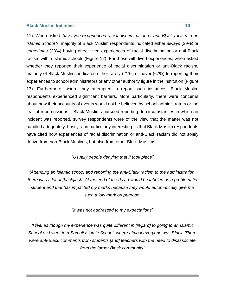11). When asked '*have you experienced racial discrimination or anti-Black racism in an Islamic School'?,* majority of Black Muslim respondents indicated either *always* (29%) or *sometimes* (33%) having direct lived experiences of racial discrimination or anti-Black racism within Islamic schools (Figure 12). For those with lived experiences, when asked whether they reported their experience of racial discrimination or anti-Black racism*,*  majority of Black Muslims indicated either rarely (21%) or never (67%) to reporting their experiences to school administrators or any other authority figure in the institution (Figure 13). Furthermore, where they attempted to report such instances, Black Muslim respondents experienced significant barriers. More particularly, there were concerns about how their accounts of events would not be believed by school administrators or the fear of repercussions if Black Muslims pursued reporting. In circumstances in which an incident was reported, survey respondents were of the view that the matter was not handled adequately. Lastly, and particularly interesting, is that Black Muslim respondents have cited how experiences of racial discrimination or anti-Black racism did not solely derive from non-Black Muslims, but also from other Black Muslims.

#### *"Usually people denying that it took place"*

*"Attending an Islamic school and reporting the anti-Black racism to the administration, there was a lot of [back]lash. At the end of the day, I would be labeled as a problematic student and that has impacted my marks because they would automatically give me such a low mark on purpose"*

*"it was not addressed to my expectations"*

*"I feel as though my experience was quite different in [regard] to going to an Islamic School as I went to a Somali Islamic School, where almost everyone was Black. There were anti-Black comments from students [and] teachers with the need to disassociate from the larger Black community"*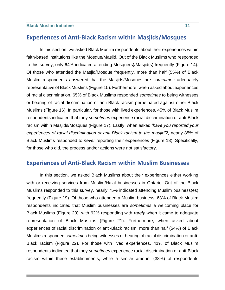# <span id="page-10-0"></span>**Experiences of Anti-Black Racism within Masjids/Mosques**

In this section, we asked Black Muslim respondents about their experiences within faith-based institutions like the Mosque/Masjid. Out of the Black Muslims who responded to this survey, only 64% indicated attending Mosque(s)/Masjid(s) frequently (Figure 14). Of those who attended the Masjid/Mosque frequently, more than half (55%) of Black Muslim respondents answered that the Masjids/Mosques are *sometimes* adequately representative of Black Muslims (Figure 15). Furthermore, when asked about experiences of racial discrimination, 65% of Black Muslims responded *sometimes* to being witnesses or hearing of racial discrimination or anti-Black racism perpetuated against other Black Muslims (Figure 16). In particular, for those with lived experiences, 45% of Black Muslim respondents indicated that they *sometimes* experience racial discrimination or anti-Black racism within Masjids/Mosques (Figure 17). Lastly, when asked '*have you reported your*  experiences of racial discrimination or anti-Black racism to the masjid'?, nearly 85% of Black Muslims responded to *never* reporting their experiences (Figure 18). Specifically, for those who did, the process and/or actions were not satisfactory.

# <span id="page-10-1"></span>**Experiences of Anti-Black Racism within Muslim Businesses**

In this section, we asked Black Muslims about their experiences either working with or receiving services from Muslim/Halal businesses in Ontario. Out of the Black Muslims responded to this survey, nearly 75% indicated attending Muslim business(es) frequently (Figure 19). Of those who attended a Muslim business, 63% of Black Muslim respondents indicated that Muslim businesses are *sometimes* a welcoming place for Black Muslims (Figure 20), with 62% responding with *rarely* when it came to adequate representation of Black Muslims (Figure 21). Furthermore, when asked about experiences of racial discrimination or anti-Black racism, more than half (54%) of Black Muslims responded *sometimes* being witnesses or hearing of racial discrimination or anti-Black racism (Figure 22). For those with lived experiences, 41% of Black Muslim respondents indicated that they *sometimes* experience racial discrimination or anti-Black racism within these establishments, while a similar amount (38%) of respondents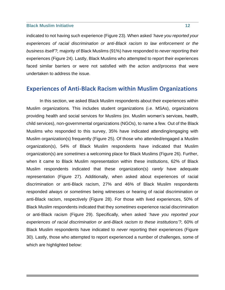indicated to not having such experience (Figure 23). When asked '*have you reported your experiences of racial discrimination or anti-Black racism to law enforcement or the business itself'?,* majority of Black Muslims (91%) have responded to *never* reporting their experiences (Figure 24). Lastly, Black Muslims who attempted to report their experiences faced similar barriers or were not satisfied with the action and/process that were undertaken to address the issue.

# <span id="page-11-0"></span>**Experiences of Anti-Black Racism within Muslim Organizations**

In this section, we asked Black Muslim respondents about their experiences within Muslim organizations. This includes student organizations (i.e. MSAs), organizations providing health and social services for Muslims (ex. Muslim women's services, health, child services), non-governmental organizations (NGOs), to name a few. Out of the Black Muslims who responded to this survey, 35% have indicated attending/engaging with Muslim organization(s) frequently (Figure 25). Of those who attended/engaged a Muslim organization(s), 54% of Black Muslim respondents have indicated that Muslim organization(s) are *sometimes* a welcoming place for Black Muslims (Figure 26). Further, when it came to Black Muslim representation within these institutions, 62% of Black Muslim respondents indicated that these organization(s) *rarely* have adequate representation (Figure 27). Additionally, when asked about experiences of racial discrimination or anti-Black racism, 27% and 46% of Black Muslim respondents responded *always* or *sometimes* being witnesses or hearing of racial discrimination or anti-Black racism, respectively (Figure 28). For those with lived experiences, 50% of Black Muslim respondents indicated that they *sometimes* experience racial discrimination or anti-Black racism (Figure 29). Specifically, when asked '*have you reported your experiences of racial discrimination or anti-Black racism to these institutions'?,* 60% of Black Muslim respondents have indicated to *never* reporting their experiences (Figure 30). Lastly, those who attempted to report experienced a number of challenges, some of which are highlighted below: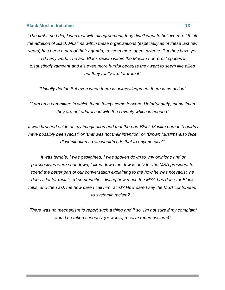*"The first time I did, I was met with disagreement, they didn't want to believe me. I think the addition of Black Muslims within these organizations (especially as of these last few years) has been a part of their agenda, to seem more open, diverse. But they have yet to do any work. The anti-Black racism within the Muslim non-profit spaces is disgustingly rampant and it's even more hurtful because they want to seem like allies but they really are far from it"*

*"Usually denial. But even when there is acknowledgment there is no action"*

*"I am on a committee in which these things come forward. Unfortunately, many times they are not addressed with the severity which is needed"*

*"It was brushed aside as my imagination and that the non-Black Muslim person "couldn't have possibly been racist" or "that was not their intention" or "Brown Muslims also face discrimination so we wouldn't do that to anyone else""*

*"It was terrible, I was gaslighted, I was spoken down to, my opinions and or perspectives were shut down, talked down too. It was only for the MSA president to spend the better part of our conversation explaining to me how he was not racist, he does a lot for racialized communities, listing how much the MSA has done for Black folks, and then ask me how dare I call him racist? How dare I say the MSA contributed to systemic racism?.."* 

<span id="page-12-0"></span>*"There was no mechanism to report such a thing and if so, I'm not sure if my complaint would be taken seriously (or worse, receive repercussions)"*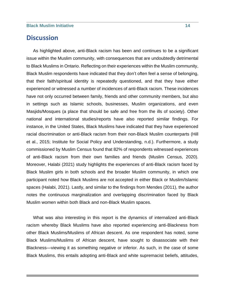# **Discussion**

As highlighted above, anti-Black racism has been and continues to be a significant issue within the Muslim community, with consequences that are undoubtedly detrimental to Black Muslims in Ontario. Reflecting on their experiences within the Muslim community, Black Muslim respondents have indicated that they don't often feel a sense of belonging, that their faith/spiritual identity is repeatedly questioned, and that they have either experienced or witnessed a number of incidences of anti-Black racism. These incidences have not only occurred between family, friends and other community members, but also in settings such as Islamic schools, businesses, Muslim organizations, and even Masjids/Mosques (a place that should be safe and free from the ills of society). Other national and international studies/reports have also reported similar findings. For instance, in the United States, Black Muslims have indicated that they have experienced racial discrimination or anti-Black racism from their non-Black Muslim counterparts (Hill et al., 2015; Institute for Social Policy and Understanding, n.d.). Furthermore, a study commissioned by Muslim Census found that 82% of respondents witnessed experiences of anti-Black racism from their own families and friends (Muslim Census, 2020). Moreover, Halabi (2021) study highlights the experiences of anti-Black racism faced by Black Muslim girls in both schools and the broader Muslim community, in which one participant noted how Black Muslims are not accepted in either Black or Muslim/Islamic spaces (Halabi, 2021). Lastly, and similar to the findings from Mendes (2011), the author notes the continuous marginalization and overlapping discrimination faced by Black Muslim women within both Black and non-Black Muslim spaces.

What was also interesting in this report is the dynamics of internalized anti-Black racism whereby Black Muslims have also reported experiencing anti-Blackness from other Black Muslims/Muslims of African descent. As one respondent has noted, some Black Muslims/Muslims of African descent, have sought to disassociate with their Blackness—viewing it as something negative or inferior. As such, in the case of some Black Muslims, this entails adopting anti-Black and white supremacist beliefs, attitudes,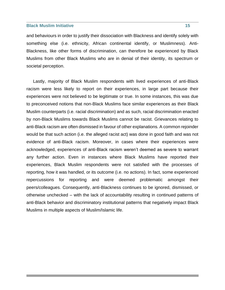and behaviours in order to justify their dissociation with Blackness and identify solely with something else (i.e. ethnicity, African continental identify, or Muslimness). Anti-Blackness, like other forms of discrimination, can therefore be experienced by Black Muslims from other Black Muslims who are in denial of their identity, its spectrum or societal perception.

Lastly, majority of Black Muslim respondents with lived experiences of anti-Black racism were less likely to report on their experiences, in large part because their experiences were not believed to be legitimate or true. In some instances, this was due to preconceived notions that non-Black Muslims face similar experiences as their Black Muslim counterparts (i.e. racial discrimination) and as such, racial discrimination enacted by non-Black Muslims towards Black Muslims cannot be racist. Grievances relating to anti-Black racism are often dismissed in favour of other explanations. A common rejoinder would be that such action (i.e. the alleged racist act) was done in good faith and was not evidence of anti-Black racism. Moreover, in cases where their experiences were acknowledged, experiences of anti-Black racism weren't deemed as severe to warrant any further action. Even in instances where Black Muslims have reported their experiences, Black Muslim respondents were not satisfied with the processes of reporting, how it was handled, or its outcome (i.e. no actions). In fact, some experienced repercussions for reporting and were deemed problematic amongst their peers/colleagues. Consequently, anti-Blackness continues to be ignored, dismissed, or otherwise unchecked – with the lack of accountability resulting in continued patterns of anti-Black behavior and discriminatory institutional patterns that negatively impact Black Muslims in multiple aspects of Muslim/Islamic life.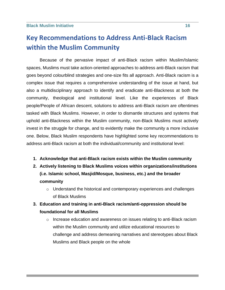# <span id="page-15-0"></span>**Key Recommendations to Address Anti-Black Racism within the Muslim Community**

Because of the pervasive impact of anti-Black racism within Muslim/Islamic spaces, Muslims must take action-oriented approaches to address anti-Black racism that goes beyond colourblind strategies and one-size fits all approach. Anti-Black racism is a complex issue that requires a comprehensive understanding of the issue at hand, but also a multidisciplinary approach to identify and eradicate anti-Blackness at both the community, theological and institutional level. Like the experiences of Black people/People of African descent, solutions to address anti-Black racism are oftentimes tasked with Black Muslims. However, in order to dismantle structures and systems that uphold anti-Blackness within the Muslim community, non-Black Muslims must actively invest in the struggle for change, and to evidently make the community a more inclusive one. Below, Black Muslim respondents have highlighted some key recommendations to address anti-Black racism at both the individual/community and institutional level:

- **1. Acknowledge that anti-Black racism exists within the Muslim community**
- **2. Actively listening to Black Muslims voices within organizations/institutions (i.e. Islamic school, Masjid/Mosque, business, etc.) and the broader community** 
	- o Understand the historical and contemporary experiences and challenges of Black Muslims
- **3. Education and training in anti-Black racism/anti-oppression should be foundational for all Muslims**
	- $\circ$  Increase education and awareness on issues relating to anti-Black racism within the Muslim community and utilize educational resources to challenge and address demeaning narratives and stereotypes about Black Muslims and Black people on the whole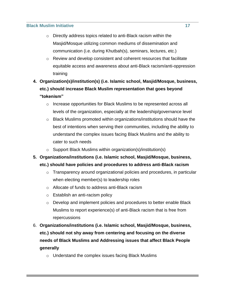- o Directly address topics related to anti-Black racism within the Masjid/Mosque utilizing common mediums of dissemination and communication (i.e. during Khutbah(s), seminars, lectures, etc.)
- o Review and develop consistent and coherent resources that facilitate equitable access and awareness about anti-Black racism/anti-oppression training
- **4. Organization(s)/institution(s) (i.e. Islamic school, Masjid/Mosque, business, etc.) should increase Black Muslim representation that goes beyond "tokenism"**
	- o Increase opportunities for Black Muslims to be represented across all levels of the organization, especially at the leadership/governance level
	- o Black Muslims promoted within organizations/institutions should have the best of intentions when serving their communities, including the ability to understand the complex issues facing Black Muslims and the ability to cater to such needs
	- o Support Black Muslims within organization(s)/institution(s)
- **5. Organizations/institutions (i.e. Islamic school, Masjid/Mosque, business, etc.) should have policies and procedures to address anti-Black racism**
	- o Transparency around organizational policies and procedures, in particular when electing member(s) to leadership roles
	- o Allocate of funds to address anti-Black racism
	- o Establish an anti-racism policy
	- o Develop and implement policies and procedures to better enable Black Muslims to report experience(s) of anti-Black racism that is free from repercussions
- 6. **Organizations/institutions (i.e. Islamic school, Masjid/Mosque, business, etc.) should not shy away from centering and focusing on the diverse needs of Black Muslims and Addressing issues that affect Black People generally**
	- o Understand the complex issues facing Black Muslims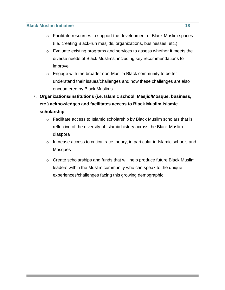- o Facilitate resources to support the development of Black Muslim spaces (i.e. creating Black-run masjids, organizations, businesses, etc.)
- o Evaluate existing programs and services to assess whether it meets the diverse needs of Black Muslims, including key recommendations to improve
- o Engage with the broader non-Muslim Black community to better understand their issues/challenges and how these challenges are also encountered by Black Muslims
- 7. **Organizations/institutions (i.e. Islamic school, Masjid/Mosque, business, etc.) acknowledges and facilitates access to Black Muslim Islamic scholarship** 
	- o Facilitate access to Islamic scholarship by Black Muslim scholars that is reflective of the diversity of Islamic history across the Black Muslim diaspora
	- $\circ$  Increase access to critical race theory, in particular in Islamic schools and **Mosques**
	- o Create scholarships and funds that will help produce future Black Muslim leaders within the Muslim community who can speak to the unique experiences/challenges facing this growing demographic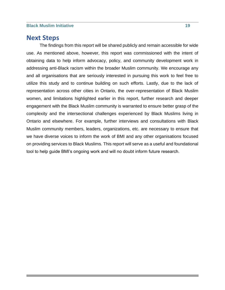# <span id="page-18-0"></span>**Next Steps**

The findings from this report will be shared publicly and remain accessible for wide use. As mentioned above, however, this report was commissioned with the intent of obtaining data to help inform advocacy, policy, and community development work in addressing anti-Black racism within the broader Muslim community. We encourage any and all organisations that are seriously interested in pursuing this work to feel free to utilize this study and to continue building on such efforts. Lastly, due to the lack of representation across other cities in Ontario, the over-representation of Black Muslim women, and limitations highlighted earlier in this report, further research and deeper engagement with the Black Muslim community is warranted to ensure better grasp of the complexity and the intersectional challenges experienced by Black Muslims living in Ontario and elsewhere. For example, further interviews and consultations with Black Muslim community members, leaders, organizations, etc. are necessary to ensure that we have diverse voices to inform the work of BMI and any other organisations focused on providing services to Black Muslims. This report will serve as a useful and foundational tool to help guide BMI's ongoing work and will no doubt inform future research.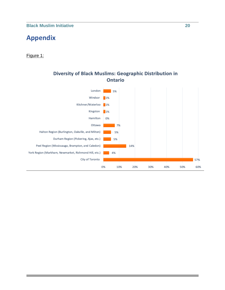# <span id="page-19-0"></span>**Appendix**

## Figure 1:



# **Diversity of Black Muslims: Geographic Distribution in Ontario**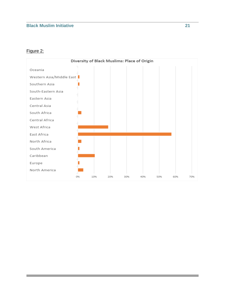## Figure 2:

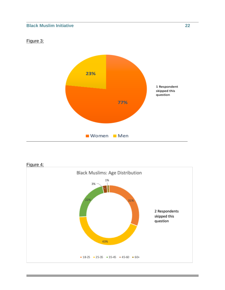## Figure 3:





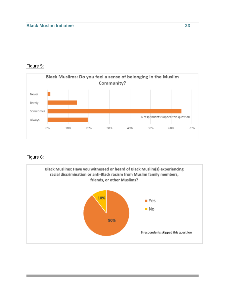# Figure 5:



# Figure 6:

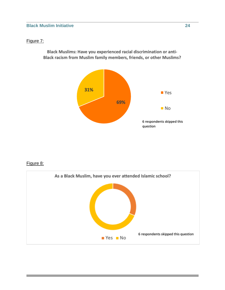## Figure 7:

Black Muslims: Have you experienced racial discrimination or anti-Black racism from Muslim family members, friends, or other Muslims?



## Figure 8:

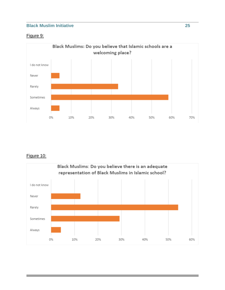# Figure 9:



# Figure 10:

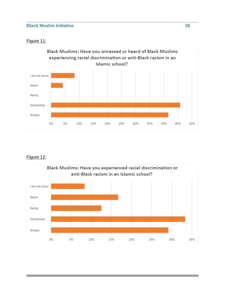## Figure 11:



# Figure 12:

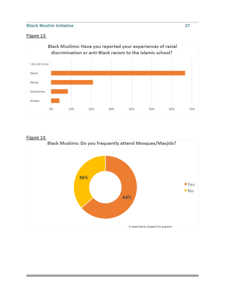# Figure 13:



#### Figure 14:

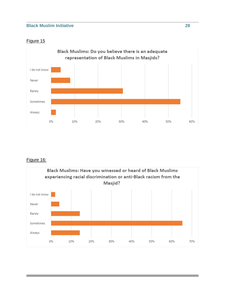# Figure 15



# Figure 16:

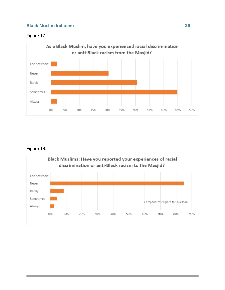# Figure 17:



# Figure 18:

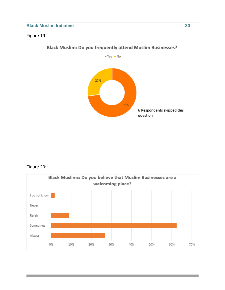## Figure 19:



# **Black Muslim: Do you frequently attend Muslim Businesses?**

# Figure 20:

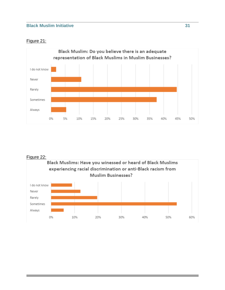## Figure 21:



#### Figure 22:

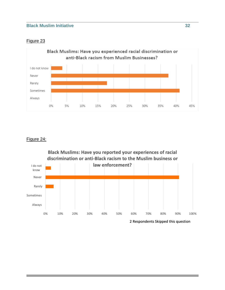## Figure 23



## Figure 24:

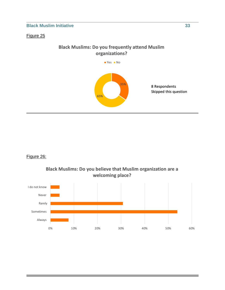#### Figure 25

# **Black Muslims: Do you frequently attend Muslim** organizations?



8 Respondents Skipped this question

# Figure 26:



Black Muslims: Do you believe that Muslim organization are a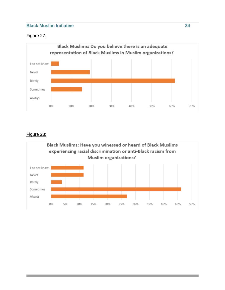# Figure 27:



## Figure 28:

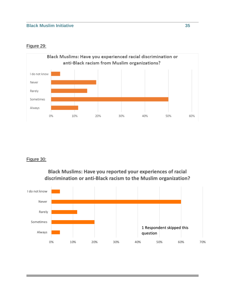#### Figure 29:



#### Figure 30:

Black Muslims: Have you reported your experiences of racial discrimination or anti-Black racism to the Muslim organization?

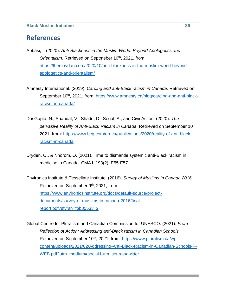# <span id="page-35-0"></span>**References**

- Abbasi, I. (2020). *Anti-Blackness in the Muslim World: Beyond Apologetics and*  Orientalism. Retrieved on Septmeber 10<sup>th</sup>, 2021, from: [https://themaydan.com/2020/10/anti-blackness-in-the-muslim-world-beyond](https://themaydan.com/2020/10/anti-blackness-in-the-muslim-world-beyond-apologetics-and-orientalism/)[apologetics-and-orientalism/](https://themaydan.com/2020/10/anti-blackness-in-the-muslim-world-beyond-apologetics-and-orientalism/)
- Amnesty International. (2019). *Carding and anti-Black racism in Canada.* Retrieved on September 10<sup>th</sup>, 2021, from: [https://www.amnesty.ca/blog/carding-and-anti-black](https://www.amnesty.ca/blog/carding-and-anti-black-racism-in-canada/)[racism-in-canada/](https://www.amnesty.ca/blog/carding-and-anti-black-racism-in-canada/)
- DasGupta, N., Shandal, V., Shadd, D., Segal, A., and CivicAction. (2020). *The*  pervasive Reality of Anti-Black Racism in Canada. Retrieved on September 10<sup>th</sup>, 2021, from: [https://www.bcg.com/en-ca/publications/2020/reality-of-anti-black](https://www.bcg.com/en-ca/publications/2020/reality-of-anti-black-racism-in-canada)[racism-in-canada](https://www.bcg.com/en-ca/publications/2020/reality-of-anti-black-racism-in-canada)
- Dryden, O., & Nnorom, O. (2021). Time to dismantle systemic anti-Black racism in medicine in Canada. CMAJ, 193(2), E55-E57.
- Environics Institute & Tessellate Institute. (2016). *Survey of Muslims in Canada 2016.*  Retrieved on September 9<sup>th</sup>, 2021, from: [https://www.environicsinstitute.org/docs/default-source/project](https://www.environicsinstitute.org/docs/default-source/project-documents/survey-of-muslims-in-canada-2016/final-report.pdf?sfvrsn=fbb85533_2)[documents/survey-of-muslims-in-canada-2016/final](https://www.environicsinstitute.org/docs/default-source/project-documents/survey-of-muslims-in-canada-2016/final-report.pdf?sfvrsn=fbb85533_2)[report.pdf?sfvrsn=fbb85533\\_2](https://www.environicsinstitute.org/docs/default-source/project-documents/survey-of-muslims-in-canada-2016/final-report.pdf?sfvrsn=fbb85533_2)
- Global Centre for Pluralism and Canadian Commission for UNESCO. (2021). *From Reflection ot Action: Addressing anti-Black racism in Canadian Schools.*  Retrieved on September 10<sup>th</sup>, 2021, from: [https://www.pluralism.ca/wp](https://www.pluralism.ca/wp-content/uploads/2021/02/Addressing-Anti-Black-Racism-in-Canadian-Schools-F-WEB.pdf?utm_medium=social&utm_source=twitter)[content/uploads/2021/02/Addressing-Anti-Black-Racism-in-Canadian-Schools-F-](https://www.pluralism.ca/wp-content/uploads/2021/02/Addressing-Anti-Black-Racism-in-Canadian-Schools-F-WEB.pdf?utm_medium=social&utm_source=twitter)[WEB.pdf?utm\\_medium=social&utm\\_source=twitter](https://www.pluralism.ca/wp-content/uploads/2021/02/Addressing-Anti-Black-Racism-in-Canadian-Schools-F-WEB.pdf?utm_medium=social&utm_source=twitter)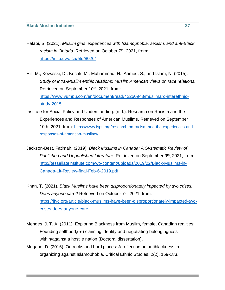- Halabi, S. (2021). *Muslim girls' experiences with Islamophobia, sexism, and anti-Black*  racism in Ontario. Retrieved on October 7<sup>th</sup>, 2021, from: <https://ir.lib.uwo.ca/etd/8026/>
- Hill, M., Kowalski, D., Kocak, M., Muhammad, H., Ahmed, S., and Islam, N. (2015). *Study of intra-Muslim enthic relations: Muslim American views on race relations.*  Retrieved on September 10<sup>th</sup>, 2021, from:

[https://www.yumpu.com/en/document/read/42250948/muslimarc-interethnic](https://www.yumpu.com/en/document/read/42250948/muslimarc-interethnic-study-2015)[study-2015](https://www.yumpu.com/en/document/read/42250948/muslimarc-interethnic-study-2015)

- Institute for Social Policy and Understanding. (n.d.). Research on Racism and the Experiences and Responses of American Muslims. Retrieved on September 10th, 2021, from: [https://www.ispu.org/research-on-racism-and-the-experiences-and](https://www.ispu.org/research-on-racism-and-the-experiences-and-responses-of-american-muslims/)[responses-of-american-muslims/](https://www.ispu.org/research-on-racism-and-the-experiences-and-responses-of-american-muslims/)
- Jackson-Best, Fatimah. (2019). *Black Muslims in Canada: A Systematic Review of Published and Unpublished Literature.* Retrieved on September 9<sup>th</sup>, 2021, from: [http://tessellateinstitute.com/wp-content/uploads/2019/02/Black-Muslims-in-](http://tessellateinstitute.com/wp-content/uploads/2019/02/Black-Muslims-in-Canada-Lit-Review-final-Feb-6-2019.pdf)[Canada-Lit-Review-final-Feb-6-2019.pdf](http://tessellateinstitute.com/wp-content/uploads/2019/02/Black-Muslims-in-Canada-Lit-Review-final-Feb-6-2019.pdf)
- Khan, T. (2021). *Black Muslims have been disproportionately impacted by two crises. Does anyone care?* Retrieved on October 7<sup>th</sup>, 2021, from: [https://ifyc.org/article/black-muslims-have-been-disproportionately-impacted-two](https://ifyc.org/article/black-muslims-have-been-disproportionately-impacted-two-crises-does-anyone-care)[crises-does-anyone-care](https://ifyc.org/article/black-muslims-have-been-disproportionately-impacted-two-crises-does-anyone-care)
- Mendes, J. T. A. (2011). Exploring Blackness from Muslim, female, Canadian realities: Founding selfhood,(re) claiming identity and negotiating belongingness within/against a hostile nation (Doctoral dissertation).
- Mugabo, D. (2016). On rocks and hard places: A reflection on antiblackness in organizing against Islamophobia. Critical Ethnic Studies, 2(2), 159-183.